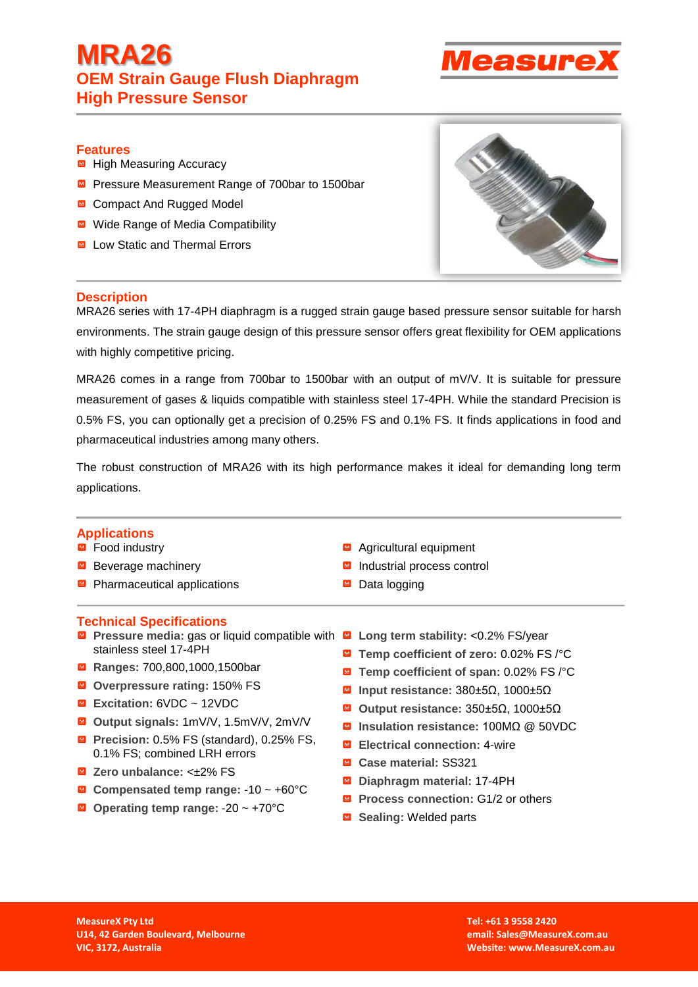# **MRA26 OEM Strain Gauge Flush Diaphragm High Pressure Sensor**



# **Features**

- High Measuring Accuracy
- **Pressure Measurement Range of 700bar to 1500bar**
- Compact And Rugged Model
- Wide Range of Media Compatibility
- Low Static and Thermal Errors



## **Description**

MRA26 series with 17-4PH diaphragm is a rugged strain gauge based pressure sensor suitable for harsh environments. The strain gauge design of this pressure sensor offers great flexibility for OEM applications with highly competitive pricing.

MRA26 comes in a range from 700bar to 1500bar with an output of mV/V. It is suitable for pressure measurement of gases & liquids compatible with stainless steel 17-4PH. While the standard Precision is 0.5% FS, you can optionally get a precision of 0.25% FS and 0.1% FS. It finds applications in food and pharmaceutical industries among many others.

The robust construction of MRA26 with its high performance makes it ideal for demanding long term applications.

## **Applications**

#### ■ Food industry

- Beverage machinery
- Pharmaceutical applications

## **Technical Specifications**

- **Pressure media:** gas or liquid compatible with **Long term stability:** <0.2% FS/year stainless steel 17-4PH
- **Ranges:** 700,800,1000,1500bar
- **Overpressure rating:** 150% FS
- **Excitation:** 6VDC ~ 12VDC
- **Output signals:** 1mV/V, 1.5mV/V, 2mV/V
- **Precision:** 0.5% FS (standard), 0.25% FS, 0.1% FS; combined LRH errors
- **Zero unbalance:** <±2% FS
- **Compensated temp range:** -10 ~ +60°C
- **Operating temp range:** -20 ~ +70°C
- Agricultural equipment
- Industrial process control
- Data logging
- 
- **Temp coefficient of zero:** 0.02% FS /°C
- **Temp coefficient of span:** 0.02% FS /°C
- **Input resistance:** 380±5Ω, 1000±5Ω
- **Output resistance:** 350±5Ω, 1000±5Ω
- **Insulation resistance:** 100MΩ @ 50VDC
- **Electrical connection:** 4-wire
- **Case material:** SS321
- **Diaphragm material: 17-4PH**
- **Process connection:** G1/2 or others
- **■** Sealing: Welded parts